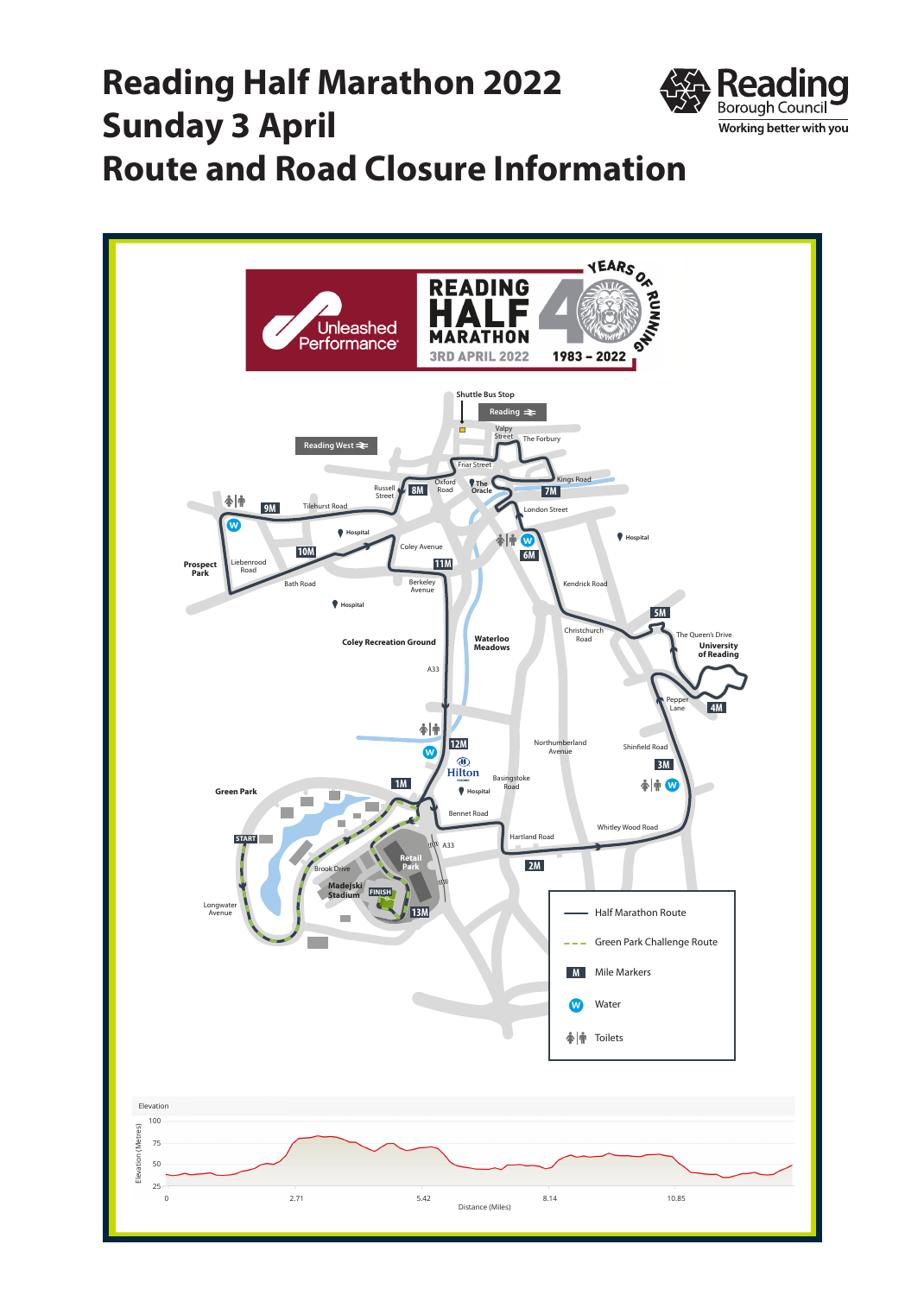## **Reading Half Marathon 2022 Sunday 3 April Route and Road Closure Information**